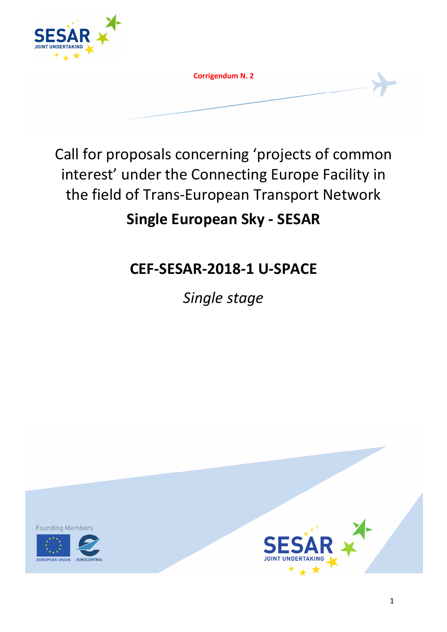

**Corrigendum N. 2**

Call for proposals concerning 'projects of common interest' under the Connecting Europe Facility in the field of Trans-European Transport Network

# **Single European Sky - SESAR**

# **CEF-SESAR-2018-1 U-SPACE**

*Single stage* 

**Founding Members** 



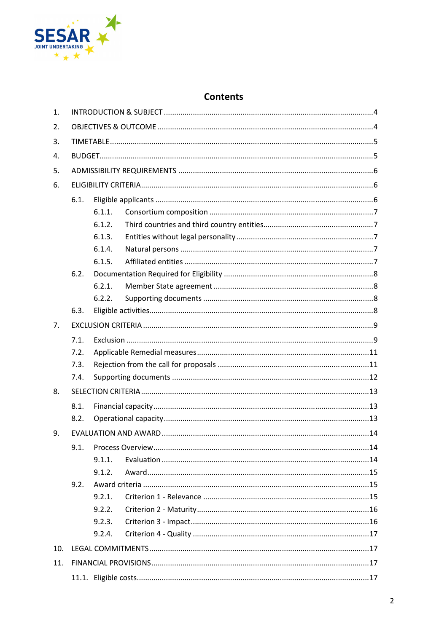

# **Contents**

| 1.  |      |        |  |  |  |
|-----|------|--------|--|--|--|
| 2.  |      |        |  |  |  |
| 3.  |      |        |  |  |  |
| 4.  |      |        |  |  |  |
| 5.  |      |        |  |  |  |
| 6.  |      |        |  |  |  |
|     | 6.1. |        |  |  |  |
|     |      | 6.1.1. |  |  |  |
|     |      | 6.1.2. |  |  |  |
|     |      | 6.1.3. |  |  |  |
|     |      | 6.1.4. |  |  |  |
|     |      | 6.1.5. |  |  |  |
|     | 6.2. |        |  |  |  |
|     |      | 6.2.1. |  |  |  |
|     |      | 6.2.2. |  |  |  |
|     | 6.3. |        |  |  |  |
| 7.  |      |        |  |  |  |
|     | 7.1. |        |  |  |  |
|     | 7.2. |        |  |  |  |
|     | 7.3. |        |  |  |  |
|     | 7.4. |        |  |  |  |
| 8.  |      |        |  |  |  |
|     | 8.1. |        |  |  |  |
|     | 8.2. |        |  |  |  |
| 9.  |      |        |  |  |  |
|     | 9.1. |        |  |  |  |
|     |      | 9.1.1. |  |  |  |
|     |      | 9.1.2. |  |  |  |
|     | 9.2. |        |  |  |  |
|     |      | 9.2.1. |  |  |  |
|     |      | 9.2.2. |  |  |  |
|     |      | 9.2.3. |  |  |  |
|     |      | 9.2.4. |  |  |  |
| 10. |      |        |  |  |  |
| 11. |      |        |  |  |  |
|     |      |        |  |  |  |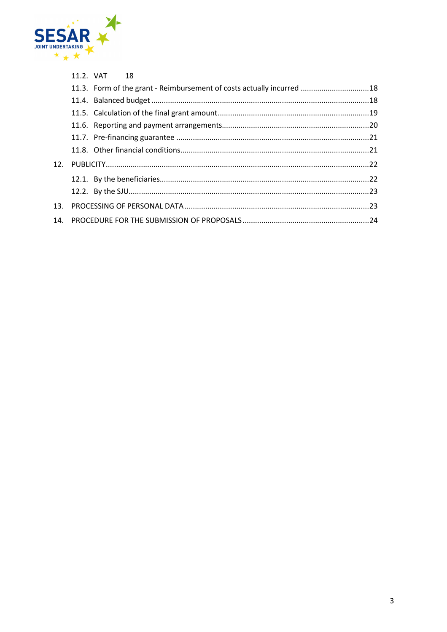

|  | 11.2. VAT 18 |                                                                       |  |
|--|--------------|-----------------------------------------------------------------------|--|
|  |              | 11.3. Form of the grant - Reimbursement of costs actually incurred 18 |  |
|  |              |                                                                       |  |
|  |              |                                                                       |  |
|  |              |                                                                       |  |
|  |              |                                                                       |  |
|  |              |                                                                       |  |
|  |              |                                                                       |  |
|  |              |                                                                       |  |
|  |              |                                                                       |  |
|  |              |                                                                       |  |
|  |              |                                                                       |  |
|  |              |                                                                       |  |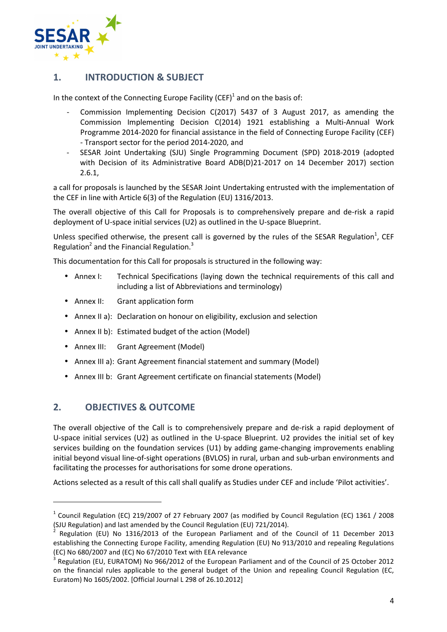

## **1. INTRODUCTION & SUBJECT**

In the context of the Connecting Europe Facility (CEF)<sup>1</sup> and on the basis of:

- Commission Implementing Decision C(2017) 5437 of 3 August 2017, as amending the Commission Implementing Decision C(2014) 1921 establishing a Multi-Annual Work Programme 2014-2020 for financial assistance in the field of Connecting Europe Facility (CEF) - Transport sector for the period 2014-2020, and
- SESAR Joint Undertaking (SJU) Single Programming Document (SPD) 2018-2019 (adopted with Decision of its Administrative Board ADB(D)21-2017 on 14 December 2017) section 2.6.1,

a call for proposals is launched by the SESAR Joint Undertaking entrusted with the implementation of the CEF in line with Article 6(3) of the Regulation (EU) 1316/2013.

The overall objective of this Call for Proposals is to comprehensively prepare and de-risk a rapid deployment of U-space initial services (U2) as outlined in the U-space Blueprint.

Unless specified otherwise, the present call is governed by the rules of the SESAR Regulation<sup>1</sup>, CEF Regulation<sup>2</sup> and the Financial Regulation.<sup>3</sup>

This documentation for this Call for proposals is structured in the following way:

- Annex I: Technical Specifications (laying down the technical requirements of this call and including a list of Abbreviations and terminology)
- Annex II: Grant application form
- Annex II a): Declaration on honour on eligibility, exclusion and selection
- Annex II b): Estimated budget of the action (Model)
- Annex III: Grant Agreement (Model)
- Annex III a): Grant Agreement financial statement and summary (Model)
- Annex III b: Grant Agreement certificate on financial statements (Model)

## **2. OBJECTIVES & OUTCOME**

 $\overline{\phantom{0}}$ 

The overall objective of the Call is to comprehensively prepare and de-risk a rapid deployment of U-space initial services (U2) as outlined in the U-space Blueprint. U2 provides the initial set of key services building on the foundation services (U1) by adding game-changing improvements enabling initial beyond visual line-of-sight operations (BVLOS) in rural, urban and sub-urban environments and facilitating the processes for authorisations for some drone operations.

Actions selected as a result of this call shall qualify as Studies under CEF and include 'Pilot activities'.

<sup>&</sup>lt;sup>1</sup> Council Regulation (EC) 219/2007 of 27 February 2007 (as modified by Council Regulation (EC) 1361 / 2008 (SJU Regulation) and last amended by the Council Regulation (EU) 721/2014).

<sup>2</sup> Regulation (EU) No 1316/2013 of the European Parliament and of the Council of 11 December 2013 establishing the Connecting Europe Facility, amending Regulation (EU) No 913/2010 and repealing Regulations (EC) No 680/2007 and (EC) No 67/2010 Text with EEA relevance

<sup>&</sup>lt;sup>3</sup> Regulation (EU, EURATOM) No 966/2012 of the European Parliament and of the Council of 25 October 2012 on the financial rules applicable to the general budget of the Union and repealing Council Regulation (EC, Euratom) No 1605/2002. [Official Journal L 298 of 26.10.2012]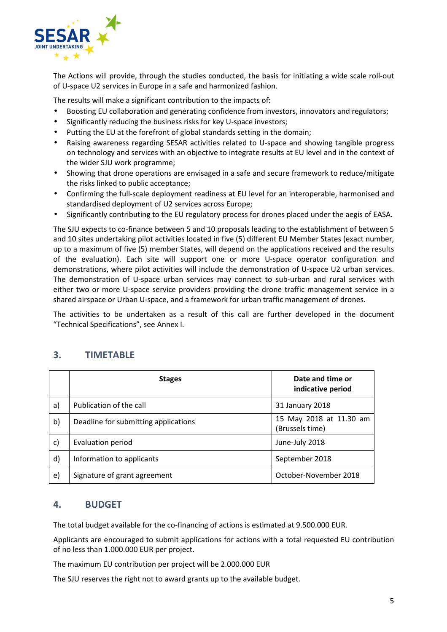

The Actions will provide, through the studies conducted, the basis for initiating a wide scale roll-out of U-space U2 services in Europe in a safe and harmonized fashion.

The results will make a significant contribution to the impacts of:

- Boosting EU collaboration and generating confidence from investors, innovators and regulators;
- Significantly reducing the business risks for key U-space investors;
- Putting the EU at the forefront of global standards setting in the domain;
- Raising awareness regarding SESAR activities related to U-space and showing tangible progress on technology and services with an objective to integrate results at EU level and in the context of the wider SJU work programme;
- Showing that drone operations are envisaged in a safe and secure framework to reduce/mitigate the risks linked to public acceptance;
- Confirming the full-scale deployment readiness at EU level for an interoperable, harmonised and standardised deployment of U2 services across Europe;
- Significantly contributing to the EU regulatory process for drones placed under the aegis of EASA.

The SJU expects to co-finance between 5 and 10 proposals leading to the establishment of between 5 and 10 sites undertaking pilot activities located in five (5) different EU Member States (exact number, up to a maximum of five (5) member States, will depend on the applications received and the results of the evaluation). Each site will support one or more U-space operator configuration and demonstrations, where pilot activities will include the demonstration of U-space U2 urban services. The demonstration of U-space urban services may connect to sub-urban and rural services with either two or more U-space service providers providing the drone traffic management service in a shared airspace or Urban U-space, and a framework for urban traffic management of drones.

The activities to be undertaken as a result of this call are further developed in the document "Technical Specifications", see Annex I.

|              | <b>Stages</b>                        | Date and time or<br>indicative period      |
|--------------|--------------------------------------|--------------------------------------------|
| a)           | Publication of the call              | 31 January 2018                            |
| b)           | Deadline for submitting applications | 15 May 2018 at 11.30 am<br>(Brussels time) |
| $\mathsf{C}$ | Evaluation period                    | June-July 2018                             |
| $\mathsf{d}$ | Information to applicants            | September 2018                             |
| e)           | Signature of grant agreement         | October-November 2018                      |

## **3. TIMETABLE**

## **4. BUDGET**

The total budget available for the co-financing of actions is estimated at 9.500.000 EUR.

Applicants are encouraged to submit applications for actions with a total requested EU contribution of no less than 1.000.000 EUR per project.

The maximum EU contribution per project will be 2.000.000 EUR

The SJU reserves the right not to award grants up to the available budget.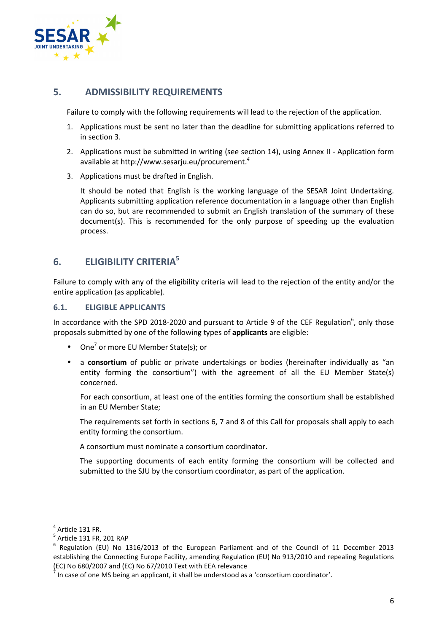

## **5. ADMISSIBILITY REQUIREMENTS**

Failure to comply with the following requirements will lead to the rejection of the application.

- 1. Applications must be sent no later than the deadline for submitting applications referred to in section 3.
- 2. Applications must be submitted in writing (see section 14), using Annex II Application form available at http://www.sesarju.eu/procurement.*<sup>4</sup>*
- 3. Applications must be drafted in English.

It should be noted that English is the working language of the SESAR Joint Undertaking. Applicants submitting application reference documentation in a language other than English can do so, but are recommended to submit an English translation of the summary of these document(s). This is recommended for the only purpose of speeding up the evaluation process.

## **6. ELIGIBILITY CRITERIA<sup>5</sup>**

Failure to comply with any of the eligibility criteria will lead to the rejection of the entity and/or the entire application (as applicable).

#### **6.1. ELIGIBLE APPLICANTS**

In accordance with the SPD 2018-2020 and pursuant to Article 9 of the CEF Regulation<sup>6</sup>, only those proposals submitted by one of the following types of **applicants** are eligible:

- One<sup>7</sup> or more EU Member State(s); or
- a **consortium** of public or private undertakings or bodies (hereinafter individually as "an entity forming the consortium") with the agreement of all the EU Member State(s) concerned.

For each consortium, at least one of the entities forming the consortium shall be established in an EU Member State;

The requirements set forth in sections 6, 7 and 8 of this Call for proposals shall apply to each entity forming the consortium.

A consortium must nominate a consortium coordinator.

The supporting documents of each entity forming the consortium will be collected and submitted to the SJU by the consortium coordinator, as part of the application.

 $<sup>4</sup>$  Article 131 FR.</sup>

 $^5$  Article 131 FR, 201 RAP

<sup>&</sup>lt;sup>6</sup> Regulation (EU) No 1316/2013 of the European Parliament and of the Council of 11 December 2013 establishing the Connecting Europe Facility, amending Regulation (EU) No 913/2010 and repealing Regulations (EC) No 680/2007 and (EC) No 67/2010 Text with EEA relevance

 $^7$  In case of one MS being an applicant, it shall be understood as a 'consortium coordinator'.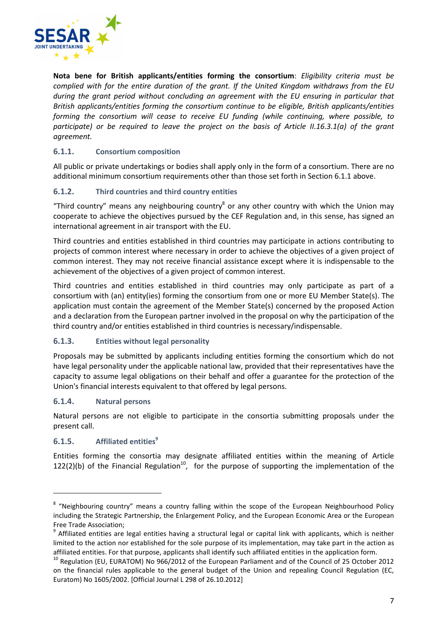

**Nota bene for British applicants/entities forming the consortium**: *Eligibility criteria must be complied with for the entire duration of the grant. If the United Kingdom withdraws from the EU during the grant period without concluding an agreement with the EU ensuring in particular that British applicants/entities forming the consortium continue to be eligible, British applicants/entities forming the consortium will cease to receive EU funding (while continuing, where possible, to participate) or be required to leave the project on the basis of Article II.16.3.1(a) of the grant agreement.*

### **6.1.1. Consortium composition**

All public or private undertakings or bodies shall apply only in the form of a consortium. There are no additional minimum consortium requirements other than those set forth in Section 6.1.1 above.

#### **6.1.2. Third countries and third country entities**

"Third country" means any neighbouring country $^8$  or any other country with which the Union may cooperate to achieve the objectives pursued by the CEF Regulation and, in this sense, has signed an international agreement in air transport with the EU.

Third countries and entities established in third countries may participate in actions contributing to projects of common interest where necessary in order to achieve the objectives of a given project of common interest. They may not receive financial assistance except where it is indispensable to the achievement of the objectives of a given project of common interest.

Third countries and entities established in third countries may only participate as part of a consortium with (an) entity(ies) forming the consortium from one or more EU Member State(s). The application must contain the agreement of the Member State(s) concerned by the proposed Action and a declaration from the European partner involved in the proposal on why the participation of the third country and/or entities established in third countries is necessary/indispensable.

#### **6.1.3. Entities without legal personality**

Proposals may be submitted by applicants including entities forming the consortium which do not have legal personality under the applicable national law, provided that their representatives have the capacity to assume legal obligations on their behalf and offer a guarantee for the protection of the Union's financial interests equivalent to that offered by legal persons.

#### **6.1.4. Natural persons**

Natural persons are not eligible to participate in the consortia submitting proposals under the present call.

### **6.1.5. Affiliated entities<sup>9</sup>**

 $\overline{a}$ 

Entities forming the consortia may designate affiliated entities within the meaning of Article 122(2)(b) of the Financial Regulation<sup>10</sup>, for the purpose of supporting the implementation of the

<sup>&</sup>lt;sup>8</sup> "Neighbouring country" means a country falling within the scope of the European Neighbourhood Policy including the Strategic Partnership, the Enlargement Policy, and the European Economic Area or the European Free Trade Association;

<sup>&</sup>lt;sup>9</sup> Affiliated entities are legal entities having a structural legal or capital link with applicants, which is neither limited to the action nor established for the sole purpose of its implementation, may take part in the action as affiliated entities. For that purpose, applicants shall identify such affiliated entities in the application form.

<sup>&</sup>lt;sup>10</sup> Regulation (EU, EURATOM) No 966/2012 of the European Parliament and of the Council of 25 October 2012 on the financial rules applicable to the general budget of the Union and repealing Council Regulation (EC, Euratom) No 1605/2002. [Official Journal L 298 of 26.10.2012]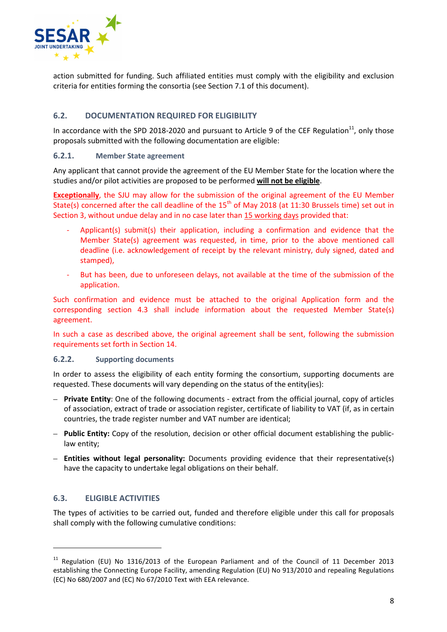

action submitted for funding. Such affiliated entities must comply with the eligibility and exclusion criteria for entities forming the consortia (see Section 7.1 of this document).

### **6.2. DOCUMENTATION REQUIRED FOR ELIGIBILITY**

In accordance with the SPD 2018-2020 and pursuant to Article 9 of the CEF Regulation<sup>11</sup>, only those proposals submitted with the following documentation are eligible:

#### **6.2.1. Member State agreement**

Any applicant that cannot provide the agreement of the EU Member State for the location where the studies and/or pilot activities are proposed to be performed **will not be eligible**.

**Exceptionally**, the SJU may allow for the submission of the original agreement of the EU Member State(s) concerned after the call deadline of the  $15<sup>th</sup>$  of May 2018 (at 11:30 Brussels time) set out in Section 3, without undue delay and in no case later than 15 working days provided that:

- Applicant(s) submit(s) their application, including a confirmation and evidence that the Member State(s) agreement was requested, in time, prior to the above mentioned call deadline (i.e. acknowledgement of receipt by the relevant ministry, duly signed, dated and stamped),
- But has been, due to unforeseen delays, not available at the time of the submission of the application.

Such confirmation and evidence must be attached to the original Application form and the corresponding section 4.3 shall include information about the requested Member State(s) agreement.

In such a case as described above, the original agreement shall be sent, following the submission requirements set forth in Section 14.

#### **6.2.2. Supporting documents**

In order to assess the eligibility of each entity forming the consortium, supporting documents are requested. These documents will vary depending on the status of the entity(ies):

- **Private Entity**: One of the following documents extract from the official journal, copy of articles of association, extract of trade or association register, certificate of liability to VAT (if, as in certain countries, the trade register number and VAT number are identical;
- **Public Entity:** Copy of the resolution, decision or other official document establishing the publiclaw entity;
- **Entities without legal personality:** Documents providing evidence that their representative(s) have the capacity to undertake legal obligations on their behalf.

#### **6.3. ELIGIBLE ACTIVITIES**

 $\overline{a}$ 

The types of activities to be carried out, funded and therefore eligible under this call for proposals shall comply with the following cumulative conditions:

<sup>&</sup>lt;sup>11</sup> Regulation (EU) No 1316/2013 of the European Parliament and of the Council of 11 December 2013 establishing the Connecting Europe Facility, amending Regulation (EU) No 913/2010 and repealing Regulations (EC) No 680/2007 and (EC) No 67/2010 Text with EEA relevance.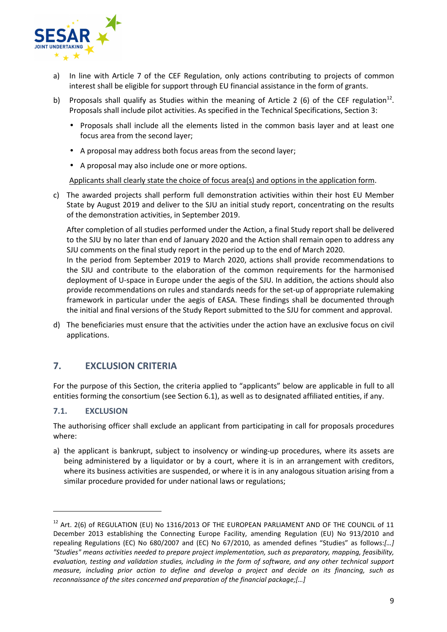

- a) In line with Article 7 of the CEF Regulation, only actions contributing to projects of common interest shall be eligible for support through EU financial assistance in the form of grants.
- b) Proposals shall qualify as Studies within the meaning of Article 2 (6) of the CEF regulation<sup>12</sup>. Proposals shall include pilot activities. As specified in the Technical Specifications, Section 3:
	- Proposals shall include all the elements listed in the common basis layer and at least one focus area from the second layer;
	- A proposal may address both focus areas from the second layer;
	- A proposal may also include one or more options.

Applicants shall clearly state the choice of focus area(s) and options in the application form.

c) The awarded projects shall perform full demonstration activities within their host EU Member State by August 2019 and deliver to the SJU an initial study report, concentrating on the results of the demonstration activities, in September 2019.

After completion of all studies performed under the Action, a final Study report shall be delivered to the SJU by no later than end of January 2020 and the Action shall remain open to address any SJU comments on the final study report in the period up to the end of March 2020.

In the period from September 2019 to March 2020, actions shall provide recommendations to the SJU and contribute to the elaboration of the common requirements for the harmonised deployment of U-space in Europe under the aegis of the SJU. In addition, the actions should also provide recommendations on rules and standards needs for the set-up of appropriate rulemaking framework in particular under the aegis of EASA. These findings shall be documented through the initial and final versions of the Study Report submitted to the SJU for comment and approval.

d) The beneficiaries must ensure that the activities under the action have an exclusive focus on civil applications.

## **7. EXCLUSION CRITERIA**

For the purpose of this Section, the criteria applied to "applicants" below are applicable in full to all entities forming the consortium (see Section 6.1), as well as to designated affiliated entities, if any.

#### **7.1. EXCLUSION**

 $\overline{a}$ 

The authorising officer shall exclude an applicant from participating in call for proposals procedures where:

a) the applicant is bankrupt, subject to insolvency or winding-up procedures, where its assets are being administered by a liquidator or by a court, where it is in an arrangement with creditors, where its business activities are suspended, or where it is in any analogous situation arising from a similar procedure provided for under national laws or regulations;

<sup>&</sup>lt;sup>12</sup> Art. 2(6) of REGULATION (EU) No 1316/2013 OF THE EUROPEAN PARLIAMENT AND OF THE COUNCIL of 11 December 2013 establishing the Connecting Europe Facility, amending Regulation (EU) No 913/2010 and repealing Regulations (EC) No 680/2007 and (EC) No 67/2010, as amended defines "Studies" as follows:*[…] "Studies" means activities needed to prepare project implementation, such as preparatory, mapping, feasibility, evaluation, testing and validation studies, including in the form of software, and any other technical support measure, including prior action to define and develop a project and decide on its financing, such as reconnaissance of the sites concerned and preparation of the financial package;[…]*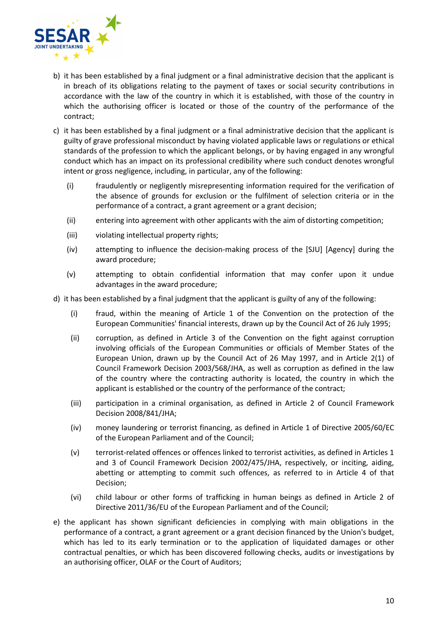

- b) it has been established by a final judgment or a final administrative decision that the applicant is in breach of its obligations relating to the payment of taxes or social security contributions in accordance with the law of the country in which it is established, with those of the country in which the authorising officer is located or those of the country of the performance of the contract;
- c) it has been established by a final judgment or a final administrative decision that the applicant is guilty of grave professional misconduct by having violated applicable laws or regulations or ethical standards of the profession to which the applicant belongs, or by having engaged in any wrongful conduct which has an impact on its professional credibility where such conduct denotes wrongful intent or gross negligence, including, in particular, any of the following:
	- (i) fraudulently or negligently misrepresenting information required for the verification of the absence of grounds for exclusion or the fulfilment of selection criteria or in the performance of a contract, a grant agreement or a grant decision;
	- (ii) entering into agreement with other applicants with the aim of distorting competition;
	- (iii) violating intellectual property rights;
	- (iv) attempting to influence the decision-making process of the [SJU] [Agency] during the award procedure;
	- (v) attempting to obtain confidential information that may confer upon it undue advantages in the award procedure;
- d) it has been established by a final judgment that the applicant is guilty of any of the following:
	- (i) fraud, within the meaning of Article 1 of the Convention on the protection of the European Communities' financial interests, drawn up by the Council Act of 26 July 1995;
	- (ii) corruption, as defined in Article 3 of the Convention on the fight against corruption involving officials of the European Communities or officials of Member States of the European Union, drawn up by the Council Act of 26 May 1997, and in Article 2(1) of Council Framework Decision 2003/568/JHA, as well as corruption as defined in the law of the country where the contracting authority is located, the country in which the applicant is established or the country of the performance of the contract;
	- (iii) participation in a criminal organisation, as defined in Article 2 of Council Framework Decision 2008/841/JHA;
	- (iv) money laundering or terrorist financing, as defined in Article 1 of Directive 2005/60/EC of the European Parliament and of the Council;
	- (v) terrorist-related offences or offences linked to terrorist activities, as defined in Articles 1 and 3 of Council Framework Decision 2002/475/JHA, respectively, or inciting, aiding, abetting or attempting to commit such offences, as referred to in Article 4 of that Decision;
	- (vi) child labour or other forms of trafficking in human beings as defined in Article 2 of Directive 2011/36/EU of the European Parliament and of the Council;
- e) the applicant has shown significant deficiencies in complying with main obligations in the performance of a contract, a grant agreement or a grant decision financed by the Union's budget, which has led to its early termination or to the application of liquidated damages or other contractual penalties, or which has been discovered following checks, audits or investigations by an authorising officer, OLAF or the Court of Auditors;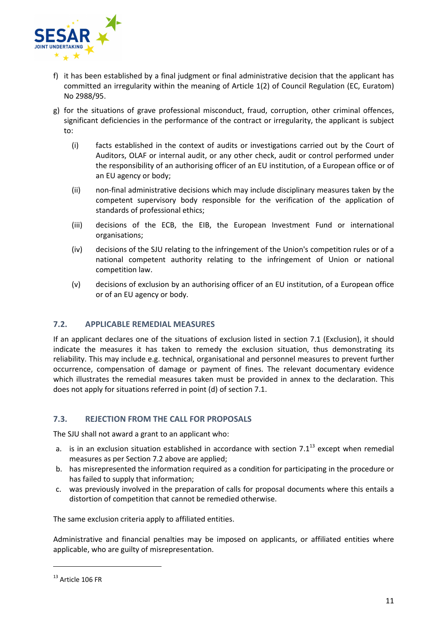

- f) it has been established by a final judgment or final administrative decision that the applicant has committed an irregularity within the meaning of Article 1(2) of Council Regulation (EC, Euratom) No 2988/95.
- g) for the situations of grave professional misconduct, fraud, corruption, other criminal offences, significant deficiencies in the performance of the contract or irregularity, the applicant is subject to:
	- (i) facts established in the context of audits or investigations carried out by the Court of Auditors, OLAF or internal audit, or any other check, audit or control performed under the responsibility of an authorising officer of an EU institution, of a European office or of an EU agency or body;
	- (ii) non-final administrative decisions which may include disciplinary measures taken by the competent supervisory body responsible for the verification of the application of standards of professional ethics;
	- (iii) decisions of the ECB, the EIB, the European Investment Fund or international organisations;
	- (iv) decisions of the SJU relating to the infringement of the Union's competition rules or of a national competent authority relating to the infringement of Union or national competition law.
	- (v) decisions of exclusion by an authorising officer of an EU institution, of a European office or of an EU agency or body.

#### **7.2. APPLICABLE REMEDIAL MEASURES**

If an applicant declares one of the situations of exclusion listed in section 7.1 (Exclusion), it should indicate the measures it has taken to remedy the exclusion situation, thus demonstrating its reliability. This may include e.g. technical, organisational and personnel measures to prevent further occurrence, compensation of damage or payment of fines. The relevant documentary evidence which illustrates the remedial measures taken must be provided in annex to the declaration. This does not apply for situations referred in point (d) of section 7.1.

#### **7.3. REJECTION FROM THE CALL FOR PROPOSALS**

The SJU shall not award a grant to an applicant who:

- a. is in an exclusion situation established in accordance with section  $7.1^{13}$  except when remedial measures as per Section 7.2 above are applied;
- b. has misrepresented the information required as a condition for participating in the procedure or has failed to supply that information;
- c. was previously involved in the preparation of calls for proposal documents where this entails a distortion of competition that cannot be remedied otherwise.

The same exclusion criteria apply to affiliated entities.

Administrative and financial penalties may be imposed on applicants, or affiliated entities where applicable, who are guilty of misrepresentation.

<sup>&</sup>lt;sup>13</sup> Article 106 FR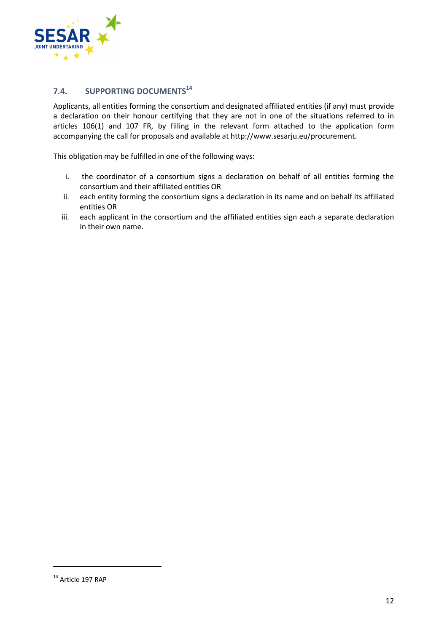

## **7.4. SUPPORTING DOCUMENTS<sup>14</sup>**

Applicants, all entities forming the consortium and designated affiliated entities (if any) must provide a declaration on their honour certifying that they are not in one of the situations referred to in articles 106(1) and 107 FR, by filling in the relevant form attached to the application form accompanying the call for proposals and available at http://www.sesarju.eu/procurement.

This obligation may be fulfilled in one of the following ways:

- i. the coordinator of a consortium signs a declaration on behalf of all entities forming the consortium and their affiliated entities OR
- ii. each entity forming the consortium signs a declaration in its name and on behalf its affiliated entities OR
- iii. each applicant in the consortium and the affiliated entities sign each a separate declaration in their own name.

<sup>&</sup>lt;sup>14</sup> Article 197 RAP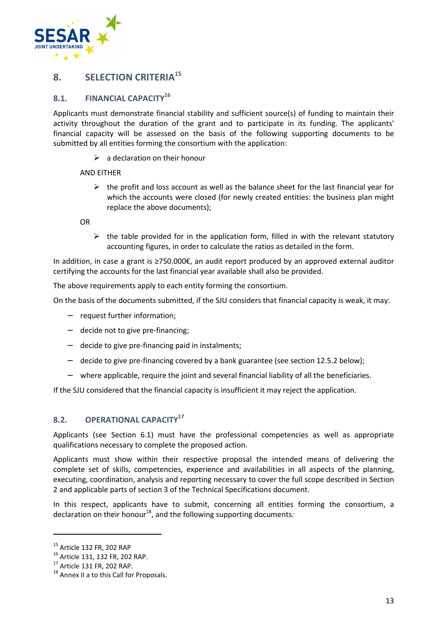

## **8. SELECTION CRITERIA<sup>15</sup>**

## **8.1. FINANCIAL CAPACITY<sup>16</sup>**

Applicants must demonstrate financial stability and sufficient source(s) of funding to maintain their activity throughout the duration of the grant and to participate in its funding. The applicants' financial capacity will be assessed on the basis of the following supporting documents to be submitted by all entities forming the consortium with the application:

 $\triangleright$  a declaration on their honour

#### AND EITHER

 $\triangleright$  the profit and loss account as well as the balance sheet for the last financial year for which the accounts were closed (for newly created entities: the business plan might replace the above documents);

OR

 $\triangleright$  the table provided for in the application form, filled in with the relevant statutory accounting figures, in order to calculate the ratios as detailed in the form.

In addition, in case a grant is ≥750.000€, an audit report produced by an approved external auditor certifying the accounts for the last financial year available shall also be provided.

The above requirements apply to each entity forming the consortium.

On the basis of the documents submitted, if the SJU considers that financial capacity is weak, it may:

- − request further information;
- − decide not to give pre-financing;
- − decide to give pre-financing paid in instalments;
- − decide to give pre-financing covered by a bank guarantee (see section 12.5.2 below);
- − where applicable, require the joint and several financial liability of all the beneficiaries.

If the SJU considered that the financial capacity is insufficient it may reject the application.

#### **8.2. OPERATIONAL CAPACITY<sup>17</sup>**

Applicants (see Section 6.1) must have the professional competencies as well as appropriate qualifications necessary to complete the proposed action.

Applicants must show within their respective proposal the intended means of delivering the complete set of skills, competencies, experience and availabilities in all aspects of the planning, executing, coordination, analysis and reporting necessary to cover the full scope described in Section 2 and applicable parts of section 3 of the Technical Specifications document.

In this respect, applicants have to submit, concerning all entities forming the consortium, a declaration on their honour<sup>18</sup>, and the following supporting documents:

<sup>15</sup> Article 132 FR, 202 RAP

<sup>16</sup> Article 131, 132 FR, 202 RAP.

<sup>17</sup> Article 131 FR, 202 RAP.

<sup>&</sup>lt;sup>18</sup> Annex II a to this Call for Proposals.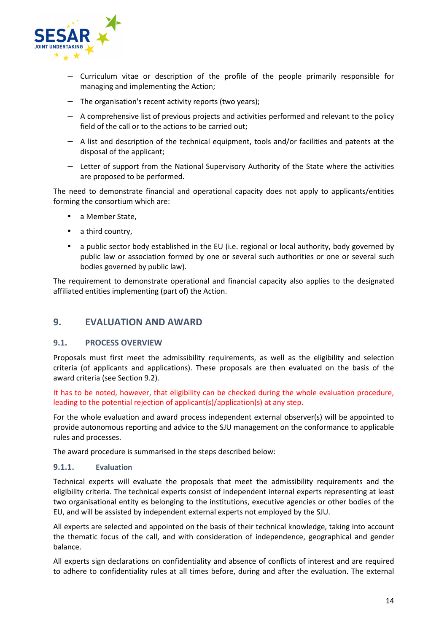

- − Curriculum vitae or description of the profile of the people primarily responsible for managing and implementing the Action;
- − The organisation's recent activity reports (two years);
- − A comprehensive list of previous projects and activities performed and relevant to the policy field of the call or to the actions to be carried out;
- − A list and description of the technical equipment, tools and/or facilities and patents at the disposal of the applicant;
- − Letter of support from the National Supervisory Authority of the State where the activities are proposed to be performed.

The need to demonstrate financial and operational capacity does not apply to applicants/entities forming the consortium which are:

- a Member State,
- a third country,
- a public sector body established in the EU (i.e. regional or local authority, body governed by public law or association formed by one or several such authorities or one or several such bodies governed by public law).

The requirement to demonstrate operational and financial capacity also applies to the designated affiliated entities implementing (part of) the Action.

## **9. EVALUATION AND AWARD**

#### **9.1. PROCESS OVERVIEW**

Proposals must first meet the admissibility requirements, as well as the eligibility and selection criteria (of applicants and applications). These proposals are then evaluated on the basis of the award criteria (see Section 9.2).

It has to be noted, however, that eligibility can be checked during the whole evaluation procedure, leading to the potential rejection of applicant(s)/application(s) at any step.

For the whole evaluation and award process independent external observer(s) will be appointed to provide autonomous reporting and advice to the SJU management on the conformance to applicable rules and processes.

The award procedure is summarised in the steps described below:

#### **9.1.1. Evaluation**

Technical experts will evaluate the proposals that meet the admissibility requirements and the eligibility criteria. The technical experts consist of independent internal experts representing at least two organisational entity es belonging to the institutions, executive agencies or other bodies of the EU, and will be assisted by independent external experts not employed by the SJU.

All experts are selected and appointed on the basis of their technical knowledge, taking into account the thematic focus of the call, and with consideration of independence, geographical and gender balance.

All experts sign declarations on confidentiality and absence of conflicts of interest and are required to adhere to confidentiality rules at all times before, during and after the evaluation. The external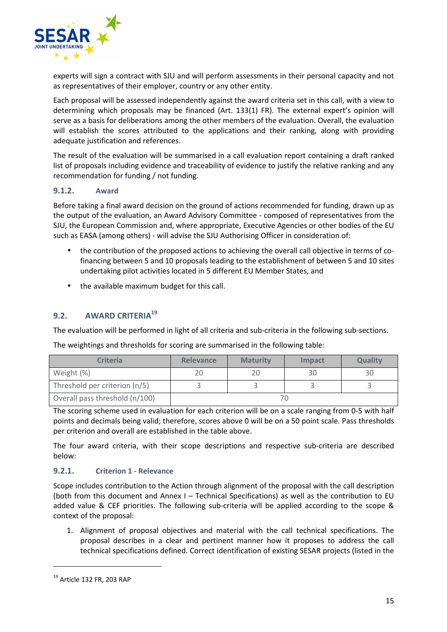

experts will sign a contract with SJU and will perform assessments in their personal capacity and not as representatives of their employer, country or any other entity.

Each proposal will be assessed independently against the award criteria set in this call, with a view to determining which proposals may be financed (Art. 133(1) FR). The external expert's opinion will serve as a basis for deliberations among the other members of the evaluation. Overall, the evaluation will establish the scores attributed to the applications and their ranking, along with providing adequate justification and references.

The result of the evaluation will be summarised in a call evaluation report containing a draft ranked list of proposals including evidence and traceability of evidence to justify the relative ranking and any recommendation for funding / not funding.

#### **9.1.2. Award**

Before taking a final award decision on the ground of actions recommended for funding, drawn up as the output of the evaluation, an Award Advisory Committee - composed of representatives from the SJU, the European Commission and, where appropriate, Executive Agencies or other bodies of the EU such as EASA (among others) - will advise the SJU Authorising Officer in consideration of:

- the contribution of the proposed actions to achieving the overall call objective in terms of cofinancing between 5 and 10 proposals leading to the establishment of between 5 and 10 sites undertaking pilot activities located in 5 different EU Member States, and
- the available maximum budget for this call.

## **9.2. AWARD CRITERIA<sup>19</sup>**

The evaluation will be performed in light of all criteria and sub-criteria in the following sub-sections.

| <b>Criteria</b>                | <b>Relevance</b> | <b>Maturity</b> | Impact | <b>Quality</b> |
|--------------------------------|------------------|-----------------|--------|----------------|
| Weight (%)                     | 20               | 20              | 30     | 30             |
| Threshold per criterion (n/5)  |                  |                 |        |                |
| Overall pass threshold (n/100) |                  |                 |        |                |

The weightings and thresholds for scoring are summarised in the following table:

The scoring scheme used in evaluation for each criterion will be on a scale ranging from 0-5 with half points and decimals being valid; therefore, scores above 0 will be on a 50 point scale. Pass thresholds per criterion and overall are established in the table above.

The four award criteria, with their scope descriptions and respective sub-criteria are described below:

#### **9.2.1. Criterion 1 - Relevance**

Scope includes contribution to the Action through alignment of the proposal with the call description (both from this document and Annex I – Technical Specifications) as well as the contribution to EU added value & CEF priorities. The following sub-criteria will be applied according to the scope & context of the proposal:

1. Alignment of proposal objectives and material with the call technical specifications. The proposal describes in a clear and pertinent manner how it proposes to address the call technical specifications defined. Correct identification of existing SESAR projects (listed in the

<sup>19</sup> Article 132 FR, 203 RAP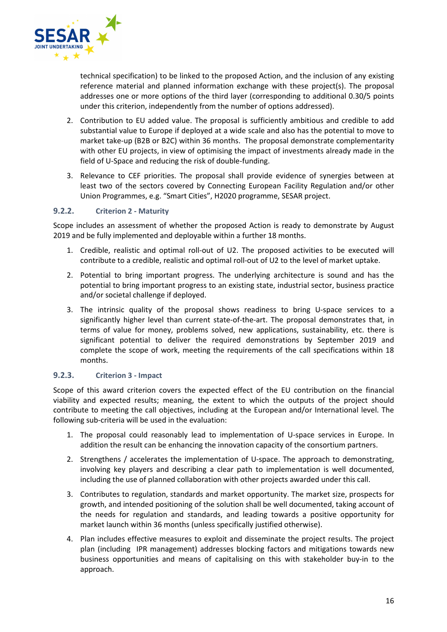

technical specification) to be linked to the proposed Action, and the inclusion of any existing reference material and planned information exchange with these project(s). The proposal addresses one or more options of the third layer (corresponding to additional 0.30/5 points under this criterion, independently from the number of options addressed).

- 2. Contribution to EU added value. The proposal is sufficiently ambitious and credible to add substantial value to Europe if deployed at a wide scale and also has the potential to move to market take-up (B2B or B2C) within 36 months. The proposal demonstrate complementarity with other EU projects, in view of optimising the impact of investments already made in the field of U-Space and reducing the risk of double-funding.
- 3. Relevance to CEF priorities. The proposal shall provide evidence of synergies between at least two of the sectors covered by Connecting European Facility Regulation and/or other Union Programmes, e.g. "Smart Cities", H2020 programme, SESAR project.

#### **9.2.2. Criterion 2 - Maturity**

Scope includes an assessment of whether the proposed Action is ready to demonstrate by August 2019 and be fully implemented and deployable within a further 18 months.

- 1. Credible, realistic and optimal roll-out of U2. The proposed activities to be executed will contribute to a credible, realistic and optimal roll-out of U2 to the level of market uptake.
- 2. Potential to bring important progress. The underlying architecture is sound and has the potential to bring important progress to an existing state, industrial sector, business practice and/or societal challenge if deployed.
- 3. The intrinsic quality of the proposal shows readiness to bring U-space services to a significantly higher level than current state-of-the-art. The proposal demonstrates that, in terms of value for money, problems solved, new applications, sustainability, etc. there is significant potential to deliver the required demonstrations by September 2019 and complete the scope of work, meeting the requirements of the call specifications within 18 months.

#### **9.2.3. Criterion 3 - Impact**

Scope of this award criterion covers the expected effect of the EU contribution on the financial viability and expected results; meaning, the extent to which the outputs of the project should contribute to meeting the call objectives, including at the European and/or International level. The following sub-criteria will be used in the evaluation:

- 1. The proposal could reasonably lead to implementation of U-space services in Europe. In addition the result can be enhancing the innovation capacity of the consortium partners.
- 2. Strengthens / accelerates the implementation of U-space. The approach to demonstrating, involving key players and describing a clear path to implementation is well documented, including the use of planned collaboration with other projects awarded under this call.
- 3. Contributes to regulation, standards and market opportunity. The market size, prospects for growth, and intended positioning of the solution shall be well documented, taking account of the needs for regulation and standards, and leading towards a positive opportunity for market launch within 36 months (unless specifically justified otherwise).
- 4. Plan includes effective measures to exploit and disseminate the project results. The project plan (including IPR management) addresses blocking factors and mitigations towards new business opportunities and means of capitalising on this with stakeholder buy-in to the approach.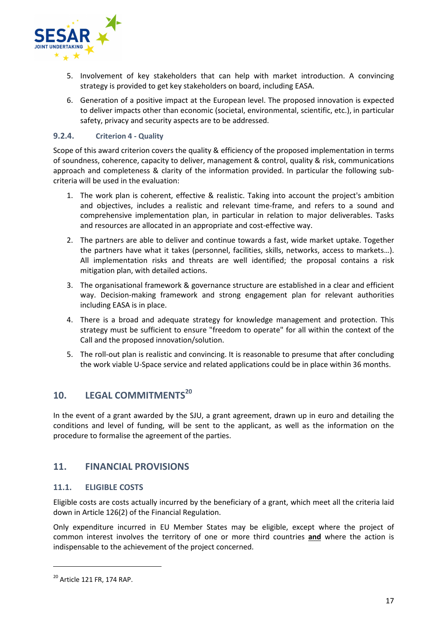

- 5. Involvement of key stakeholders that can help with market introduction. A convincing strategy is provided to get key stakeholders on board, including EASA.
- 6. Generation of a positive impact at the European level. The proposed innovation is expected to deliver impacts other than economic (societal, environmental, scientific, etc.), in particular safety, privacy and security aspects are to be addressed.

#### **9.2.4. Criterion 4 - Quality**

Scope of this award criterion covers the quality & efficiency of the proposed implementation in terms of soundness, coherence, capacity to deliver, management & control, quality & risk, communications approach and completeness & clarity of the information provided. In particular the following subcriteria will be used in the evaluation:

- 1. The work plan is coherent, effective & realistic. Taking into account the project's ambition and objectives, includes a realistic and relevant time-frame, and refers to a sound and comprehensive implementation plan, in particular in relation to major deliverables. Tasks and resources are allocated in an appropriate and cost-effective way.
- 2. The partners are able to deliver and continue towards a fast, wide market uptake. Together the partners have what it takes (personnel, facilities, skills, networks, access to markets…). All implementation risks and threats are well identified; the proposal contains a risk mitigation plan, with detailed actions.
- 3. The organisational framework & governance structure are established in a clear and efficient way. Decision-making framework and strong engagement plan for relevant authorities including EASA is in place.
- 4. There is a broad and adequate strategy for knowledge management and protection. This strategy must be sufficient to ensure "freedom to operate" for all within the context of the Call and the proposed innovation/solution.
- 5. The roll-out plan is realistic and convincing. It is reasonable to presume that after concluding the work viable U-Space service and related applications could be in place within 36 months.

# **10. LEGAL COMMITMENTS<sup>20</sup>**

In the event of a grant awarded by the SJU, a grant agreement, drawn up in euro and detailing the conditions and level of funding, will be sent to the applicant, as well as the information on the procedure to formalise the agreement of the parties.

## **11. FINANCIAL PROVISIONS**

#### **11.1. ELIGIBLE COSTS**

Eligible costs are costs actually incurred by the beneficiary of a grant, which meet all the criteria laid down in Article 126(2) of the Financial Regulation.

Only expenditure incurred in EU Member States may be eligible, except where the project of common interest involves the territory of one or more third countries **and** where the action is indispensable to the achievement of the project concerned.

<sup>20</sup> Article 121 FR, 174 RAP.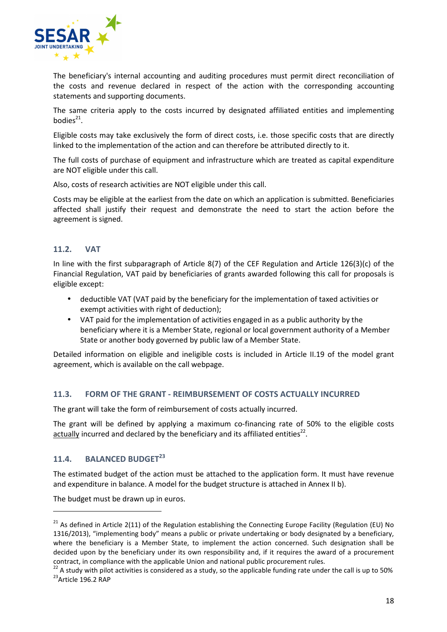

The beneficiary's internal accounting and auditing procedures must permit direct reconciliation of the costs and revenue declared in respect of the action with the corresponding accounting statements and supporting documents.

The same criteria apply to the costs incurred by designated affiliated entities and implementing bodies $^{21}$ .

Eligible costs may take exclusively the form of direct costs, i.e. those specific costs that are directly linked to the implementation of the action and can therefore be attributed directly to it.

The full costs of purchase of equipment and infrastructure which are treated as capital expenditure are NOT eligible under this call.

Also, costs of research activities are NOT eligible under this call.

Costs may be eligible at the earliest from the date on which an application is submitted. Beneficiaries affected shall justify their request and demonstrate the need to start the action before the agreement is signed.

#### **11.2. VAT**

In line with the first subparagraph of Article 8(7) of the CEF Regulation and Article 126(3)(c) of the Financial Regulation, VAT paid by beneficiaries of grants awarded following this call for proposals is eligible except:

- deductible VAT (VAT paid by the beneficiary for the implementation of taxed activities or exempt activities with right of deduction);
- VAT paid for the implementation of activities engaged in as a public authority by the beneficiary where it is a Member State, regional or local government authority of a Member State or another body governed by public law of a Member State.

Detailed information on eligible and ineligible costs is included in Article II.19 of the model grant agreement, which is available on the call webpage.

#### **11.3. FORM OF THE GRANT - REIMBURSEMENT OF COSTS ACTUALLY INCURRED**

The grant will take the form of reimbursement of costs actually incurred.

The grant will be defined by applying a maximum co-financing rate of 50% to the eligible costs actually incurred and declared by the beneficiary and its affiliated entities<sup>22</sup>.

## **11.4. BALANCED BUDGET<sup>23</sup>**

 $\overline{a}$ 

The estimated budget of the action must be attached to the application form. It must have revenue and expenditure in balance. A model for the budget structure is attached in Annex II b).

The budget must be drawn up in euros.

<sup>&</sup>lt;sup>21</sup> As defined in Article 2(11) of the Regulation establishing the Connecting Europe Facility (Regulation (EU) No 1316/2013), "implementing body" means a public or private undertaking or body designated by a beneficiary, where the beneficiary is a Member State, to implement the action concerned. Such designation shall be decided upon by the beneficiary under its own responsibility and, if it requires the award of a procurement contract, in compliance with the applicable Union and national public procurement rules.

 $22$  A study with pilot activities is considered as a study, so the applicable funding rate under the call is up to 50% <sup>23</sup>Article 196.2 RAP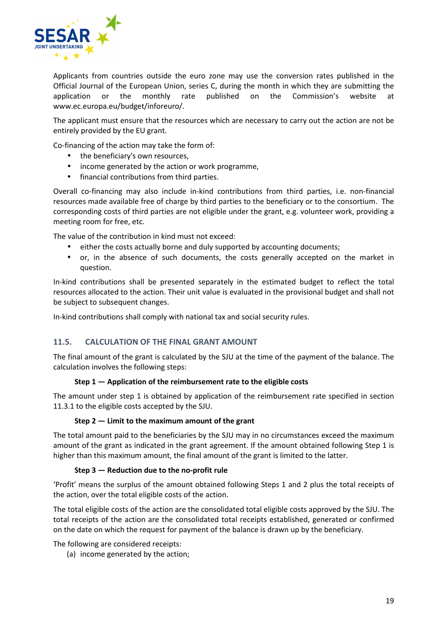

Applicants from countries outside the euro zone may use the conversion rates published in the Official Journal of the European Union, series C, during the month in which they are submitting the application or the monthly rate published on the Commission's website at www.ec.europa.eu/budget/inforeuro/.

The applicant must ensure that the resources which are necessary to carry out the action are not be entirely provided by the EU grant.

Co-financing of the action may take the form of:

- the beneficiary's own resources,
- income generated by the action or work programme,
- financial contributions from third parties.

Overall co-financing may also include in-kind contributions from third parties, i.e. non-financial resources made available free of charge by third parties to the beneficiary or to the consortium. The corresponding costs of third parties are not eligible under the grant, e.g. volunteer work, providing a meeting room for free, etc.

The value of the contribution in kind must not exceed:

- either the costs actually borne and duly supported by accounting documents;
- or, in the absence of such documents, the costs generally accepted on the market in question.

In-kind contributions shall be presented separately in the estimated budget to reflect the total resources allocated to the action. Their unit value is evaluated in the provisional budget and shall not be subject to subsequent changes.

In-kind contributions shall comply with national tax and social security rules.

#### **11.5. CALCULATION OF THE FINAL GRANT AMOUNT**

The final amount of the grant is calculated by the SJU at the time of the payment of the balance. The calculation involves the following steps:

#### **Step 1 — Application of the reimbursement rate to the eligible costs**

The amount under step 1 is obtained by application of the reimbursement rate specified in section 11.3.1 to the eligible costs accepted by the SJU.

#### **Step 2 — Limit to the maximum amount of the grant**

The total amount paid to the beneficiaries by the SJU may in no circumstances exceed the maximum amount of the grant as indicated in the grant agreement. If the amount obtained following Step 1 is higher than this maximum amount, the final amount of the grant is limited to the latter.

#### **Step 3 — Reduction due to the no-profit rule**

'Profit' means the surplus of the amount obtained following Steps 1 and 2 plus the total receipts of the action, over the total eligible costs of the action.

The total eligible costs of the action are the consolidated total eligible costs approved by the SJU. The total receipts of the action are the consolidated total receipts established, generated or confirmed on the date on which the request for payment of the balance is drawn up by the beneficiary.

The following are considered receipts:

(a) income generated by the action;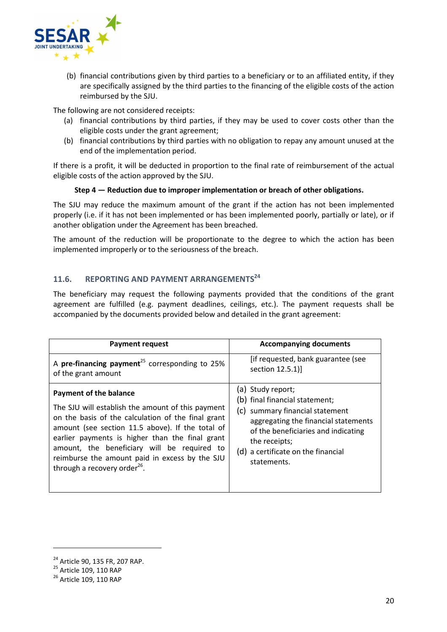

(b) financial contributions given by third parties to a beneficiary or to an affiliated entity, if they are specifically assigned by the third parties to the financing of the eligible costs of the action reimbursed by the SJU.

The following are not considered receipts:

- (a) financial contributions by third parties, if they may be used to cover costs other than the eligible costs under the grant agreement;
- (b) financial contributions by third parties with no obligation to repay any amount unused at the end of the implementation period.

If there is a profit, it will be deducted in proportion to the final rate of reimbursement of the actual eligible costs of the action approved by the SJU.

#### **Step 4 — Reduction due to improper implementation or breach of other obligations.**

The SJU may reduce the maximum amount of the grant if the action has not been implemented properly (i.e. if it has not been implemented or has been implemented poorly, partially or late), or if another obligation under the Agreement has been breached.

The amount of the reduction will be proportionate to the degree to which the action has been implemented improperly or to the seriousness of the breach.

## **11.6. REPORTING AND PAYMENT ARRANGEMENTS<sup>24</sup>**

The beneficiary may request the following payments provided that the conditions of the grant agreement are fulfilled (e.g. payment deadlines, ceilings, etc.). The payment requests shall be accompanied by the documents provided below and detailed in the grant agreement:

| <b>Payment request</b>                                     | <b>Accompanying documents</b>        |
|------------------------------------------------------------|--------------------------------------|
| A pre-financing payment <sup>25</sup> corresponding to 25% | [if requested, bank guarantee (see   |
| of the grant amount                                        | section 12.5.1)                      |
| <b>Payment of the balance</b>                              | (a) Study report;                    |
| The SJU will establish the amount of this payment          | (b) final financial statement;       |
| on the basis of the calculation of the final grant         | (c) summary financial statement      |
| amount (see section 11.5 above). If the total of           | aggregating the financial statements |
| earlier payments is higher than the final grant            | of the beneficiaries and indicating  |
| amount, the beneficiary will be required to                | the receipts;                        |
| reimburse the amount paid in excess by the SJU             | (d) a certificate on the financial   |
| through a recovery order <sup>26</sup> .                   | statements.                          |

 $\overline{a}$ 

<sup>&</sup>lt;sup>24</sup> Article 90, 135 FR, 207 RAP.

<sup>25</sup> Article 109, 110 RAP

<sup>&</sup>lt;sup>26</sup> Article 109, 110 RAP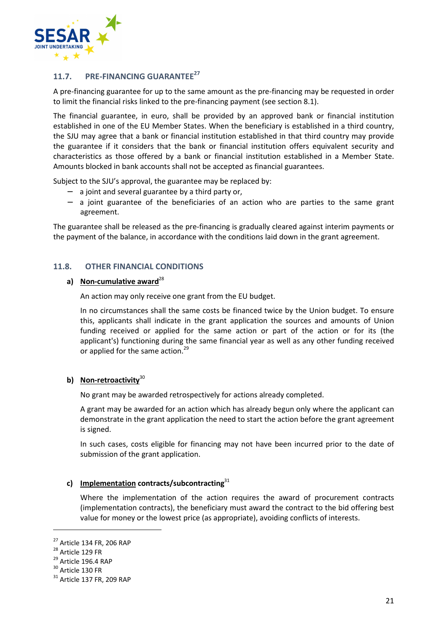

## **11.7. PRE-FINANCING GUARANTEE<sup>27</sup>**

A pre-financing guarantee for up to the same amount as the pre-financing may be requested in order to limit the financial risks linked to the pre-financing payment (see section 8.1).

The financial guarantee, in euro, shall be provided by an approved bank or financial institution established in one of the EU Member States. When the beneficiary is established in a third country, the SJU may agree that a bank or financial institution established in that third country may provide the guarantee if it considers that the bank or financial institution offers equivalent security and characteristics as those offered by a bank or financial institution established in a Member State. Amounts blocked in bank accounts shall not be accepted as financial guarantees.

Subject to the SJU's approval, the guarantee may be replaced by:

- − a joint and several guarantee by a third party or,
- − a joint guarantee of the beneficiaries of an action who are parties to the same grant agreement.

The guarantee shall be released as the pre-financing is gradually cleared against interim payments or the payment of the balance, in accordance with the conditions laid down in the grant agreement.

#### **11.8. OTHER FINANCIAL CONDITIONS**

## a) **Non-cumulative award**<sup>28</sup>

An action may only receive one grant from the EU budget.

In no circumstances shall the same costs be financed twice by the Union budget. To ensure this, applicants shall indicate in the grant application the sources and amounts of Union funding received or applied for the same action or part of the action or for its (the applicant's) functioning during the same financial year as well as any other funding received or applied for the same action.<sup>29</sup>

#### **b) Non-retroactivity**<sup>30</sup>

No grant may be awarded retrospectively for actions already completed.

A grant may be awarded for an action which has already begun only where the applicant can demonstrate in the grant application the need to start the action before the grant agreement is signed.

In such cases, costs eligible for financing may not have been incurred prior to the date of submission of the grant application.

#### **c) Implementation contracts/subcontracting**<sup>31</sup>

Where the implementation of the action requires the award of procurement contracts (implementation contracts), the beneficiary must award the contract to the bid offering best value for money or the lowest price (as appropriate), avoiding conflicts of interests.

 $\overline{a}$ 

<sup>27</sup> Article 134 FR, 206 RAP

<sup>&</sup>lt;sup>28</sup> Article 129 FR

<sup>&</sup>lt;sup>29</sup> Article 196.4 RAP

<sup>&</sup>lt;sup>30</sup> Article 130 FR

<sup>&</sup>lt;sup>31</sup> Article 137 FR, 209 RAP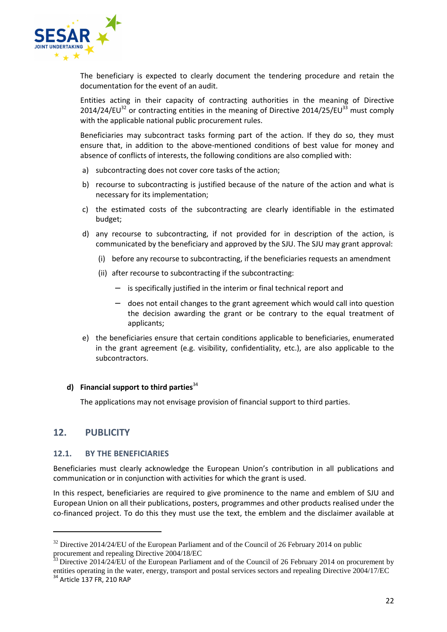

The beneficiary is expected to clearly document the tendering procedure and retain the documentation for the event of an audit.

Entities acting in their capacity of contracting authorities in the meaning of Directive 2014/24/EU<sup>32</sup> or contracting entities in the meaning of Directive 2014/25/EU<sup>33</sup> must comply with the applicable national public procurement rules.

Beneficiaries may subcontract tasks forming part of the action. If they do so, they must ensure that, in addition to the above-mentioned conditions of best value for money and absence of conflicts of interests, the following conditions are also complied with:

- a) subcontracting does not cover core tasks of the action;
- b) recourse to subcontracting is justified because of the nature of the action and what is necessary for its implementation;
- c) the estimated costs of the subcontracting are clearly identifiable in the estimated budget;
- d) any recourse to subcontracting, if not provided for in description of the action, is communicated by the beneficiary and approved by the SJU. The SJU may grant approval:
	- (i) before any recourse to subcontracting, if the beneficiaries requests an amendment
	- (ii) after recourse to subcontracting if the subcontracting:
		- − is specifically justified in the interim or final technical report and
		- − does not entail changes to the grant agreement which would call into question the decision awarding the grant or be contrary to the equal treatment of applicants;
- e) the beneficiaries ensure that certain conditions applicable to beneficiaries, enumerated in the grant agreement (e.g. visibility, confidentiality, etc.), are also applicable to the subcontractors.

#### **d) Financial support to third parties**<sup>34</sup>

The applications may not envisage provision of financial support to third parties.

## **12. PUBLICITY**

#### **12.1. BY THE BENEFICIARIES**

Beneficiaries must clearly acknowledge the European Union's contribution in all publications and communication or in conjunction with activities for which the grant is used.

In this respect, beneficiaries are required to give prominence to the name and emblem of SJU and European Union on all their publications, posters, programmes and other products realised under the co-financed project. To do this they must use the text, the emblem and the disclaimer available at

 $32$  Directive 2014/24/EU of the European Parliament and of the Council of 26 February 2014 on public procurement and repealing Directive 2004/18/EC

 $33$  Directive 2014/24/EU of the European Parliament and of the Council of 26 February 2014 on procurement by entities operating in the water, energy, transport and postal services sectors and repealing Directive 2004/17/EC

<sup>34</sup> Article 137 FR, 210 RAP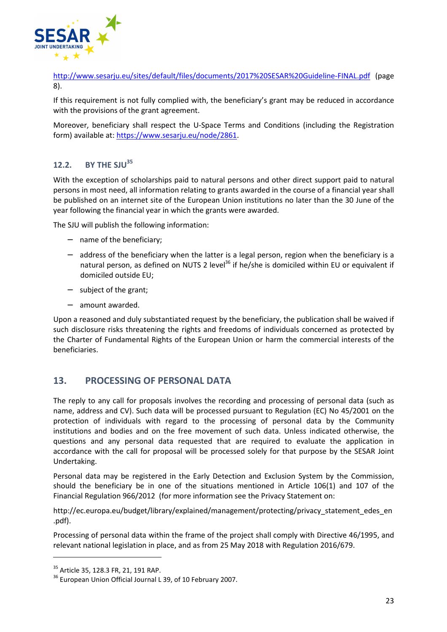

http://www.sesarju.eu/sites/default/files/documents/2017%20SESAR%20Guideline-FINAL.pdf (page 8).

If this requirement is not fully complied with, the beneficiary's grant may be reduced in accordance with the provisions of the grant agreement.

Moreover, beneficiary shall respect the U-Space Terms and Conditions (including the Registration form) available at: https://www.sesarju.eu/node/2861.

## **12.2. BY THE SJU<sup>35</sup>**

With the exception of scholarships paid to natural persons and other direct support paid to natural persons in most need, all information relating to grants awarded in the course of a financial year shall be published on an internet site of the European Union institutions no later than the 30 June of the year following the financial year in which the grants were awarded.

The SJU will publish the following information:

- − name of the beneficiary;
- − address of the beneficiary when the latter is a legal person, region when the beneficiary is a natural person, as defined on NUTS 2 level<sup>36</sup> if he/she is domiciled within EU or equivalent if domiciled outside EU;
- − subject of the grant;
- − amount awarded.

Upon a reasoned and duly substantiated request by the beneficiary, the publication shall be waived if such disclosure risks threatening the rights and freedoms of individuals concerned as protected by the Charter of Fundamental Rights of the European Union or harm the commercial interests of the beneficiaries.

## **13. PROCESSING OF PERSONAL DATA**

The reply to any call for proposals involves the recording and processing of personal data (such as name, address and CV). Such data will be processed pursuant to Regulation (EC) No 45/2001 on the protection of individuals with regard to the processing of personal data by the Community institutions and bodies and on the free movement of such data. Unless indicated otherwise, the questions and any personal data requested that are required to evaluate the application in accordance with the call for proposal will be processed solely for that purpose by the SESAR Joint Undertaking.

Personal data may be registered in the Early Detection and Exclusion System by the Commission, should the beneficiary be in one of the situations mentioned in Article 106(1) and 107 of the Financial Regulation 966/2012 (for more information see the Privacy Statement on:

http://ec.europa.eu/budget/library/explained/management/protecting/privacy\_statement\_edes\_en .pdf).

Processing of personal data within the frame of the project shall comply with Directive 46/1995, and relevant national legislation in place, and as from 25 May 2018 with Regulation 2016/679.

<sup>&</sup>lt;sup>35</sup> Article 35, 128.3 FR, 21, 191 RAP.

<sup>&</sup>lt;sup>36</sup> European Union Official Journal L 39, of 10 February 2007.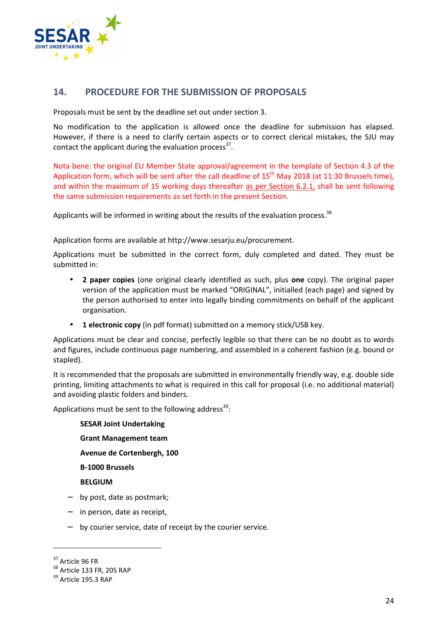

## **14. PROCEDURE FOR THE SUBMISSION OF PROPOSALS**

Proposals must be sent by the deadline set out under section 3.

No modification to the application is allowed once the deadline for submission has elapsed. However, if there is a need to clarify certain aspects or to correct clerical mistakes, the SJU may contact the applicant during the evaluation process<sup>37</sup>.

Nota bene: the original EU Member State approval/agreement in the template of Section 4.3 of the Application form, which will be sent after the call deadline of  $15<sup>th</sup>$  May 2018 (at 11:30 Brussels time), and within the maximum of 15 working days thereafter as per Section 6.2.1, shall be sent following the same submission requirements as set forth in the present Section.

Applicants will be informed in writing about the results of the evaluation process. $38$ 

Application forms are available at http://www.sesarju.eu/procurement.

Applications must be submitted in the correct form, duly completed and dated. They must be submitted in:

- **2 paper copies** (one original clearly identified as such, plus **one** copy). The original paper version of the application must be marked "ORIGINAL", initialled (each page) and signed by the person authorised to enter into legally binding commitments on behalf of the applicant organisation.
- **1 electronic copy** (in pdf format) submitted on a memory stick/USB key.

Applications must be clear and concise, perfectly legible so that there can be no doubt as to words and figures, include continuous page numbering, and assembled in a coherent fashion (e.g. bound or stapled).

It is recommended that the proposals are submitted in environmentally friendly way, e.g. double side printing, limiting attachments to what is required in this call for proposal (i.e. no additional material) and avoiding plastic folders and binders.

Applications must be sent to the following address<sup>39</sup>:

**SESAR Joint Undertaking Grant Management team** 

**Avenue de Cortenbergh, 100** 

**B-1000 Brussels** 

**BELGIUM** 

- − by post, date as postmark;
- − in person, date as receipt,
- − by courier service, date of receipt by the courier service.

 $\overline{a}$ 

<sup>&</sup>lt;sup>37</sup> Article 96 FR

<sup>38</sup> Article 133 FR, 205 RAP

<sup>&</sup>lt;sup>39</sup> Article 195.3 RAP